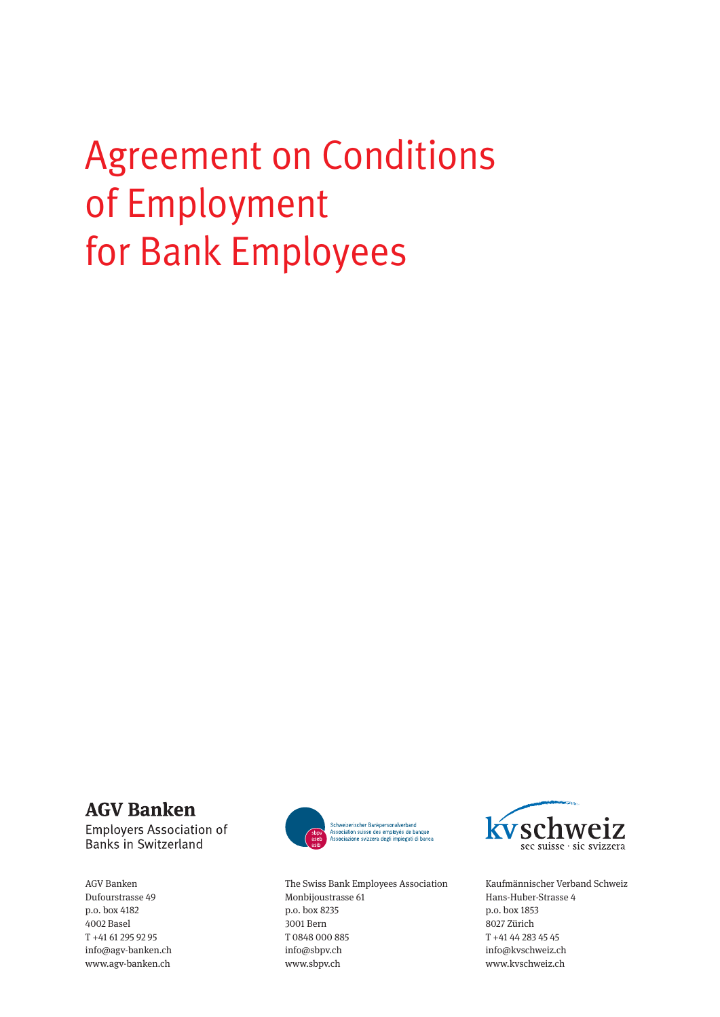# Agreement on Conditions of Employment for Bank Employees

# **AGV Banken**

**Employers Association of Banks in Switzerland** 

AGV Banken Dufourstrasse 49 p.o. box 4182 4002 Basel T +41 61 295 92 95 info@agv-banken.ch www.agv-banken.ch



The Swiss Bank Employees Association Monbijoustrasse 61 p.o. box 8235 3001 Bern T 0848 000 885 info@sbpv.ch www.sbpv.ch



Kaufmännischer Verband Schweiz Hans-Huber-Strasse 4 p.o. box 1853 8027 Zürich T +41 44 283 45 45 info@kvschweiz.ch www.kvschweiz.ch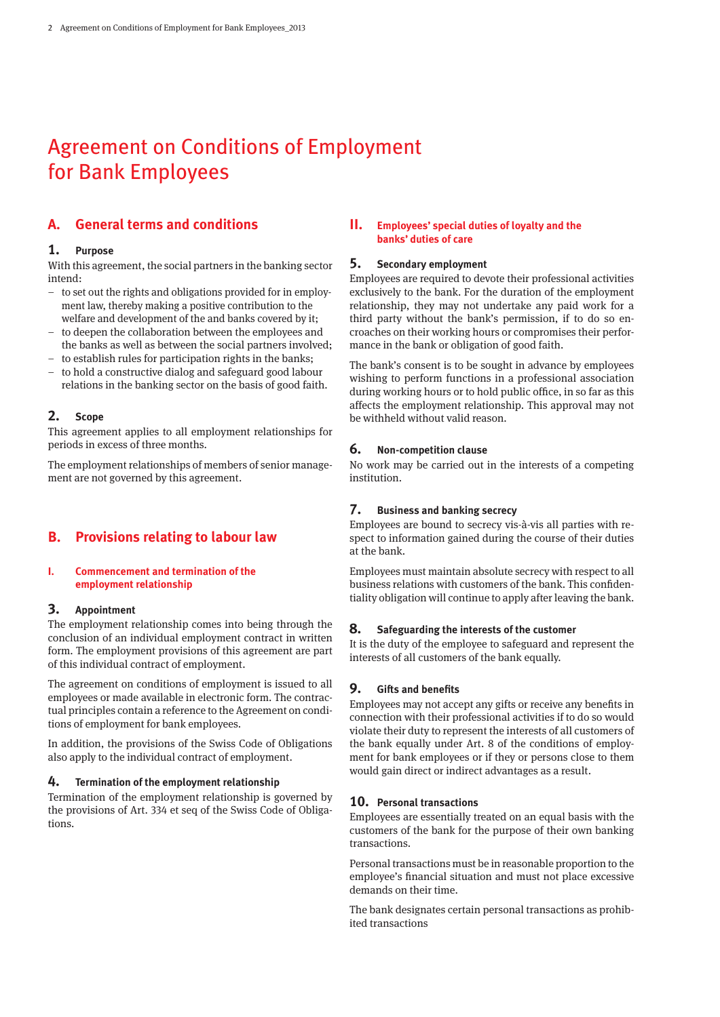# Agreement on Conditions of Employment for Bank Employees

# **A. General terms and conditions**

#### **1. Purpose**

With this agreement, the social partners in the banking sector intend:

- to set out the rights and obligations provided for in employment law, thereby making a positive contribution to the welfare and development of the and banks covered by it;
- to deepen the collaboration between the employees and the banks as well as between the social partners involved;
- to establish rules for participation rights in the banks;
- to hold a constructive dialog and safeguard good labour relations in the banking sector on the basis of good faith.

#### **2. Scope**

This agreement applies to all employment relationships for periods in excess of three months.

The employment relationships of members of senior management are not governed by this agreement.

## **B. Provisions relating to labour law**

#### **I. Commencement and termination of the employment relationship**

#### **3. Appointment**

The employment relationship comes into being through the conclusion of an individual employment contract in written form. The employment provisions of this agreement are part of this individual contract of employment.

The agreement on conditions of employment is issued to all employees or made available in electronic form. The contractual principles contain a reference to the Agreement on conditions of employment for bank employees.

In addition, the provisions of the Swiss Code of Obligations also apply to the individual contract of employment.

#### **4. Termination of the employment relationship**

Termination of the employment relationship is governed by the provisions of Art. 334 et seq of the Swiss Code of Obligations.

#### **II. Employees' special duties of loyalty and the banks' duties of care**

#### **5. Secondary employment**

Employees are required to devote their professional activities exclusively to the bank. For the duration of the employment relationship, they may not undertake any paid work for a third party without the bank's permission, if to do so encroaches on their working hours or compromises their performance in the bank or obligation of good faith.

The bank's consent is to be sought in advance by employees wishing to perform functions in a professional association during working hours or to hold public office, in so far as this affects the employment relationship. This approval may not be withheld without valid reason.

#### **6. Non-competition clause**

No work may be carried out in the interests of a competing institution.

#### **7. Business and banking secrecy**

Employees are bound to secrecy vis-à-vis all parties with respect to information gained during the course of their duties at the bank.

Employees must maintain absolute secrecy with respect to all business relations with customers of the bank. This confidentiality obligation will continue to apply after leaving the bank.

#### **8. Safeguarding the interests of the customer**

It is the duty of the employee to safeguard and represent the interests of all customers of the bank equally.

#### **9. Gifts and benefits**

Employees may not accept any gifts or receive any benefits in connection with their professional activities if to do so would violate their duty to represent the interests of all customers of the bank equally under Art. 8 of the conditions of employment for bank employees or if they or persons close to them would gain direct or indirect advantages as a result.

#### **10. Personal transactions**

Employees are essentially treated on an equal basis with the customers of the bank for the purpose of their own banking transactions.

Personal transactions must be in reasonable proportion to the employee's financial situation and must not place excessive demands on their time.

The bank designates certain personal transactions as prohibited transactions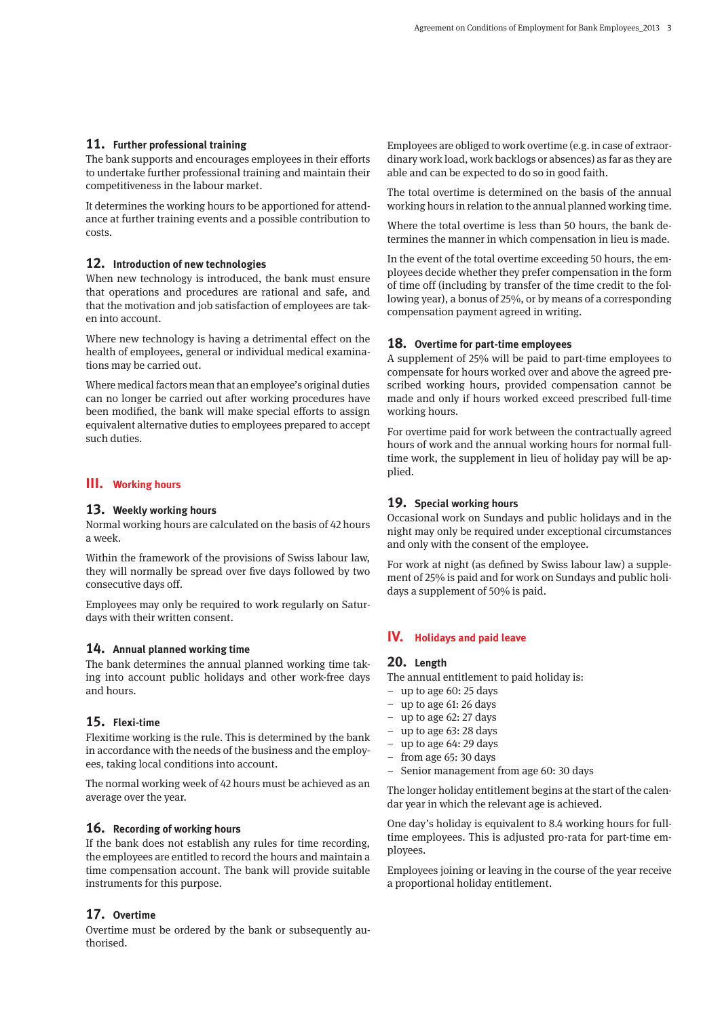#### **11. Further professional training**

The bank supports and encourages employees in their efforts to undertake further professional training and maintain their competitiveness in the labour market.

It determines the working hours to be apportioned for attendance at further training events and a possible contribution to costs.

#### **12. Introduction of new technologies**

When new technology is introduced, the bank must ensure that operations and procedures are rational and safe, and that the motivation and job satisfaction of employees are taken into account.

Where new technology is having a detrimental effect on the health of employees, general or individual medical examinations may be carried out.

Where medical factors mean that an employee's original duties can no longer be carried out after working procedures have been modified, the bank will make special efforts to assign equivalent alternative duties to employees prepared to accept such duties.

#### **III. Working hours**

#### **13. Weekly working hours**

Normal working hours are calculated on the basis of 42 hours a week.

Within the framework of the provisions of Swiss labour law, they will normally be spread over five days followed by two consecutive days off.

Employees may only be required to work regularly on Saturdays with their written consent.

#### **14. Annual planned working time**

The bank determines the annual planned working time taking into account public holidays and other work-free days and hours.

#### **15. Flexi-time**

Flexitime working is the rule. This is determined by the bank in accordance with the needs of the business and the employees, taking local conditions into account.

The normal working week of 42 hours must be achieved as an average over the year.

#### **16. Recording of working hours**

If the bank does not establish any rules for time recording, the employees are entitled to record the hours and maintain a time compensation account. The bank will provide suitable instruments for this purpose.

## **17. Overtime**

Overtime must be ordered by the bank or subsequently authorised.

Employees are obliged to work overtime (e.g. in case of extraordinary work load, work backlogs or absences) as far as they are able and can be expected to do so in good faith.

The total overtime is determined on the basis of the annual working hours in relation to the annual planned working time.

Where the total overtime is less than 50 hours, the bank determines the manner in which compensation in lieu is made.

In the event of the total overtime exceeding 50 hours, the employees decide whether they prefer compensation in the form of time off (including by transfer of the time credit to the following year), a bonus of 25%, or by means of a corresponding compensation payment agreed in writing.

#### **18. Overtime for part-time employees**

A supplement of 25% will be paid to part-time employees to compensate for hours worked over and above the agreed prescribed working hours, provided compensation cannot be made and only if hours worked exceed prescribed full-time working hours.

For overtime paid for work between the contractually agreed hours of work and the annual working hours for normal fulltime work, the supplement in lieu of holiday pay will be applied.

#### **19. Special working hours**

Occasional work on Sundays and public holidays and in the night may only be required under exceptional circumstances and only with the consent of the employee.

For work at night (as defined by Swiss labour law) a supplement of 25% is paid and for work on Sundays and public holidays a supplement of 50% is paid.

#### **IV. Holidays and paid leave**

#### **20. Length**

The annual entitlement to paid holiday is:

- up to age 60: 25 days
- up to age 61: 26 days
- up to age 62: 27 days
- up to age 63: 28 days
- up to age 64: 29 days
- from age 65: 30 days
- Senior management from age 60: 30 days

The longer holiday entitlement begins at the start of the calendar year in which the relevant age is achieved.

One day's holiday is equivalent to 8.4 working hours for fulltime employees. This is adjusted pro-rata for part-time employees.

Employees joining or leaving in the course of the year receive a proportional holiday entitlement.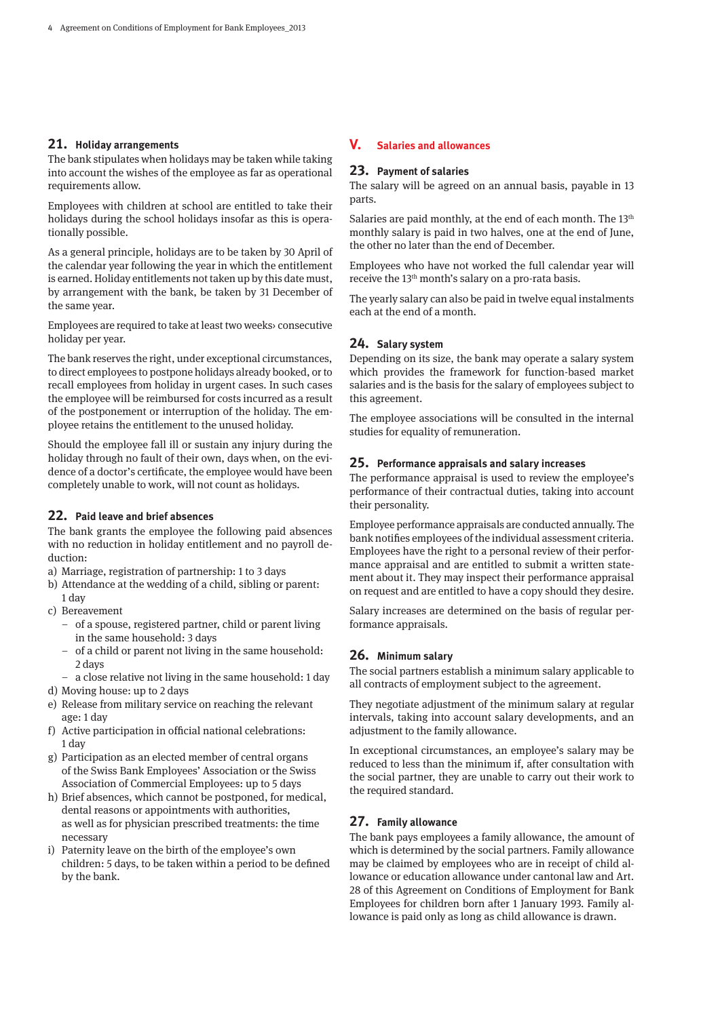#### **21. Holiday arrangements**

The bank stipulates when holidays may be taken while taking into account the wishes of the employee as far as operational requirements allow.

Employees with children at school are entitled to take their holidays during the school holidays insofar as this is operationally possible.

As a general principle, holidays are to be taken by 30 April of the calendar year following the year in which the entitlement is earned. Holiday entitlements not taken up by this date must, by arrangement with the bank, be taken by 31 December of the same year.

Employees are required to take at least two weeks› consecutive holiday per year.

The bank reserves the right, under exceptional circumstances, to direct employees to postpone holidays already booked, or to recall employees from holiday in urgent cases. In such cases the employee will be reimbursed for costs incurred as a result of the postponement or interruption of the holiday. The employee retains the entitlement to the unused holiday.

Should the employee fall ill or sustain any injury during the holiday through no fault of their own, days when, on the evidence of a doctor's certificate, the employee would have been completely unable to work, will not count as holidays.

#### **22. Paid leave and brief absences**

The bank grants the employee the following paid absences with no reduction in holiday entitlement and no payroll deduction:

- a) Marriage, registration of partnership: 1 to 3 days
- b) Attendance at the wedding of a child, sibling or parent: 1 day
- c) Bereavement
	- of a spouse, registered partner, child or parent living in the same household: 3 days
	- of a child or parent not living in the same household: 2 days
- a close relative not living in the same household: 1 day d) Moving house: up to 2 days
- e) Release from military service on reaching the relevant age: 1 day
- f) Active participation in official national celebrations: 1 day
- g) Participation as an elected member of central organs of the Swiss Bank Employees' Association or the Swiss Association of Commercial Employees: up to 5 days
- h) Brief absences, which cannot be postponed, for medical, dental reasons or appointments with authorities, as well as for physician prescribed treatments: the time necessary
- i) Paternity leave on the birth of the employee's own children: 5 days, to be taken within a period to be defined by the bank.

#### **V. Salaries and allowances**

#### **23. Payment of salaries**

The salary will be agreed on an annual basis, payable in 13 parts.

Salaries are paid monthly, at the end of each month. The 13<sup>th</sup> monthly salary is paid in two halves, one at the end of June, the other no later than the end of December.

Employees who have not worked the full calendar year will receive the 13<sup>th</sup> month's salary on a pro-rata basis.

The yearly salary can also be paid in twelve equal instalments each at the end of a month.

#### **24. Salary system**

Depending on its size, the bank may operate a salary system which provides the framework for function-based market salaries and is the basis for the salary of employees subject to this agreement.

The employee associations will be consulted in the internal studies for equality of remuneration.

#### **25. Performance appraisals and salary increases**

The performance appraisal is used to review the employee's performance of their contractual duties, taking into account their personality.

Employee performance appraisals are conducted annually. The bank notifies employees of the individual assessment criteria. Employees have the right to a personal review of their performance appraisal and are entitled to submit a written statement about it. They may inspect their performance appraisal on request and are entitled to have a copy should they desire.

Salary increases are determined on the basis of regular performance appraisals.

#### **26. Minimum salary**

The social partners establish a minimum salary applicable to all contracts of employment subject to the agreement.

They negotiate adjustment of the minimum salary at regular intervals, taking into account salary developments, and an adjustment to the family allowance.

In exceptional circumstances, an employee's salary may be reduced to less than the minimum if, after consultation with the social partner, they are unable to carry out their work to the required standard.

#### **27. Family allowance**

The bank pays employees a family allowance, the amount of which is determined by the social partners. Family allowance may be claimed by employees who are in receipt of child allowance or education allowance under cantonal law and Art. 28 of this Agreement on Conditions of Employment for Bank Employees for children born after 1 January 1993. Family allowance is paid only as long as child allowance is drawn.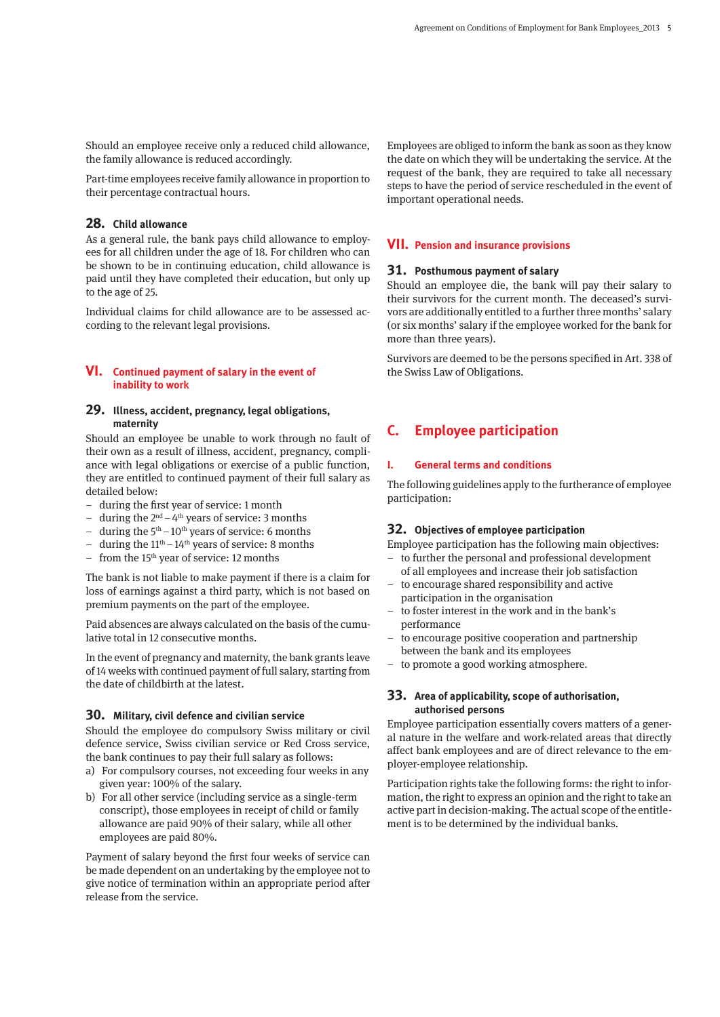Should an employee receive only a reduced child allowance, the family allowance is reduced accordingly.

Part-time employees receive family allowance in proportion to their percentage contractual hours.

#### **28. Child allowance**

As a general rule, the bank pays child allowance to employees for all children under the age of 18. For children who can be shown to be in continuing education, child allowance is paid until they have completed their education, but only up to the age of 25.

Individual claims for child allowance are to be assessed according to the relevant legal provisions.

#### **VI. Continued payment of salary in the event of inability to work**

#### **29. Illness, accident, pregnancy, legal obligations, maternity**

Should an employee be unable to work through no fault of their own as a result of illness, accident, pregnancy, compliance with legal obligations or exercise of a public function, they are entitled to continued payment of their full salary as detailed below:

- during the first year of service: 1 month
- during the  $2<sup>nd</sup> 4<sup>th</sup>$  years of service: 3 months
- during the  $5<sup>th</sup>$   $10<sup>th</sup>$  years of service: 6 months
- during the  $11<sup>th</sup> 14<sup>th</sup>$  years of service: 8 months
- from the 15th year of service: 12 months

The bank is not liable to make payment if there is a claim for loss of earnings against a third party, which is not based on premium payments on the part of the employee.

Paid absences are always calculated on the basis of the cumulative total in 12 consecutive months.

In the event of pregnancy and maternity, the bank grants leave of 14 weeks with continued payment of full salary, starting from the date of childbirth at the latest.

#### **30. Military, civil defence and civilian service**

Should the employee do compulsory Swiss military or civil defence service, Swiss civilian service or Red Cross service, the bank continues to pay their full salary as follows:

- a) For compulsory courses, not exceeding four weeks in any given year: 100% of the salary.
- b) For all other service (including service as a single-term conscript), those employees in receipt of child or family allowance are paid 90% of their salary, while all other employees are paid 80%.

Payment of salary beyond the first four weeks of service can be made dependent on an undertaking by the employee not to give notice of termination within an appropriate period after release from the service.

Employees are obliged to inform the bank as soon as they know the date on which they will be undertaking the service. At the request of the bank, they are required to take all necessary steps to have the period of service rescheduled in the event of important operational needs.

#### **VII. Pension and insurance provisions**

#### **31. Posthumous payment of salary**

Should an employee die, the bank will pay their salary to their survivors for the current month. The deceased's survivors are additionally entitled to a further three months' salary (or six months' salary if the employee worked for the bank for more than three years).

Survivors are deemed to be the persons specified in Art. 338 of the Swiss Law of Obligations.

# **C. Employee participation**

#### **I. General terms and conditions**

The following guidelines apply to the furtherance of employee participation:

#### **32. Objectives of employee participation**

Employee participation has the following main objectives:

- to further the personal and professional development of all employees and increase their job satisfaction
- to encourage shared responsibility and active participation in the organisation
- to foster interest in the work and in the bank's performance
- to encourage positive cooperation and partnership between the bank and its employees
- to promote a good working atmosphere.

#### **33. Area of applicability, scope of authorisation, authorised persons**

Employee participation essentially covers matters of a general nature in the welfare and work-related areas that directly affect bank employees and are of direct relevance to the employer-employee relationship.

Participation rights take the following forms: the right to information, the right to express an opinion and the right to take an active part in decision-making. The actual scope of the entitlement is to be determined by the individual banks.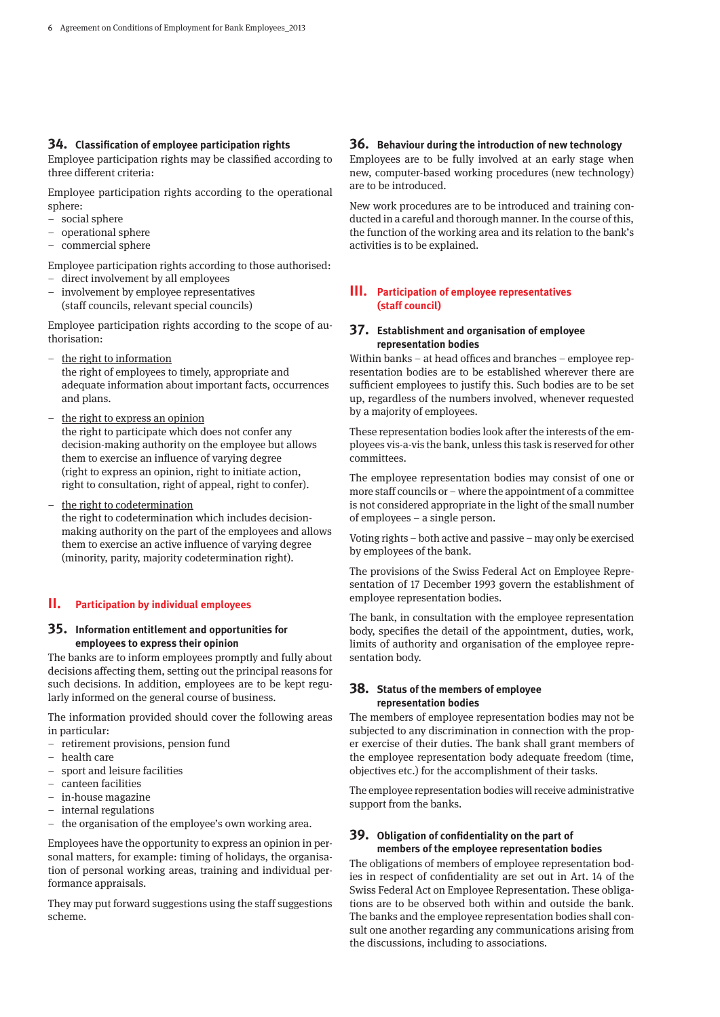#### **34. Classification of employee participation rights**

Employee participation rights may be classified according to three different criteria:

Employee participation rights according to the operational sphere:

- social sphere
- operational sphere
- commercial sphere

Employee participation rights according to those authorised:

- direct involvement by all employees
- involvement by employee representatives (staff councils, relevant special councils)

Employee participation rights according to the scope of authorisation:

- the right to information the right of employees to timely, appropriate and adequate information about important facts, occurrences and plans.
- the right to express an opinion the right to participate which does not confer any decision-making authority on the employee but allows them to exercise an influence of varying degree (right to express an opinion, right to initiate action, right to consultation, right of appeal, right to confer).
- the right to codetermination the right to codetermination which includes decisionmaking authority on the part of the employees and allows them to exercise an active influence of varying degree (minority, parity, majority codetermination right).

#### **II. Participation by individual employees**

#### **35. Information entitlement and opportunities for employees to express their opinion**

The banks are to inform employees promptly and fully about decisions affecting them, setting out the principal reasons for such decisions. In addition, employees are to be kept regularly informed on the general course of business.

The information provided should cover the following areas in particular:

- retirement provisions, pension fund
- health care
- sport and leisure facilities
- canteen facilities
- in-house magazine
- internal regulations
- the organisation of the employee's own working area.

Employees have the opportunity to express an opinion in personal matters, for example: timing of holidays, the organisation of personal working areas, training and individual performance appraisals.

They may put forward suggestions using the staff suggestions scheme.

#### **36. Behaviour during the introduction of new technology**

Employees are to be fully involved at an early stage when new, computer-based working procedures (new technology) are to be introduced.

New work procedures are to be introduced and training conducted in a careful and thorough manner. In the course of this, the function of the working area and its relation to the bank's activities is to be explained.

#### **III. Participation of employee representatives (staff council)**

#### **37. Establishment and organisation of employee representation bodies**

Within banks – at head offices and branches – employee representation bodies are to be established wherever there are sufficient employees to justify this. Such bodies are to be set up, regardless of the numbers involved, whenever requested by a majority of employees.

These representation bodies look after the interests of the employees vis-a-vis the bank, unless this task is reserved for other committees.

The employee representation bodies may consist of one or more staff councils or – where the appointment of a committee is not considered appropriate in the light of the small number of employees – a single person.

Voting rights – both active and passive – may only be exercised by employees of the bank.

The provisions of the Swiss Federal Act on Employee Representation of 17 December 1993 govern the establishment of employee representation bodies.

The bank, in consultation with the employee representation body, specifies the detail of the appointment, duties, work, limits of authority and organisation of the employee representation body.

#### **38. Status of the members of employee representation bodies**

The members of employee representation bodies may not be subjected to any discrimination in connection with the proper exercise of their duties. The bank shall grant members of the employee representation body adequate freedom (time, objectives etc.) for the accomplishment of their tasks.

The employee representation bodies will receive administrative support from the banks.

#### **39. Obligation of confidentiality on the part of members of the employee representation bodies**

The obligations of members of employee representation bodies in respect of confidentiality are set out in Art. 14 of the Swiss Federal Act on Employee Representation. These obligations are to be observed both within and outside the bank. The banks and the employee representation bodies shall consult one another regarding any communications arising from the discussions, including to associations.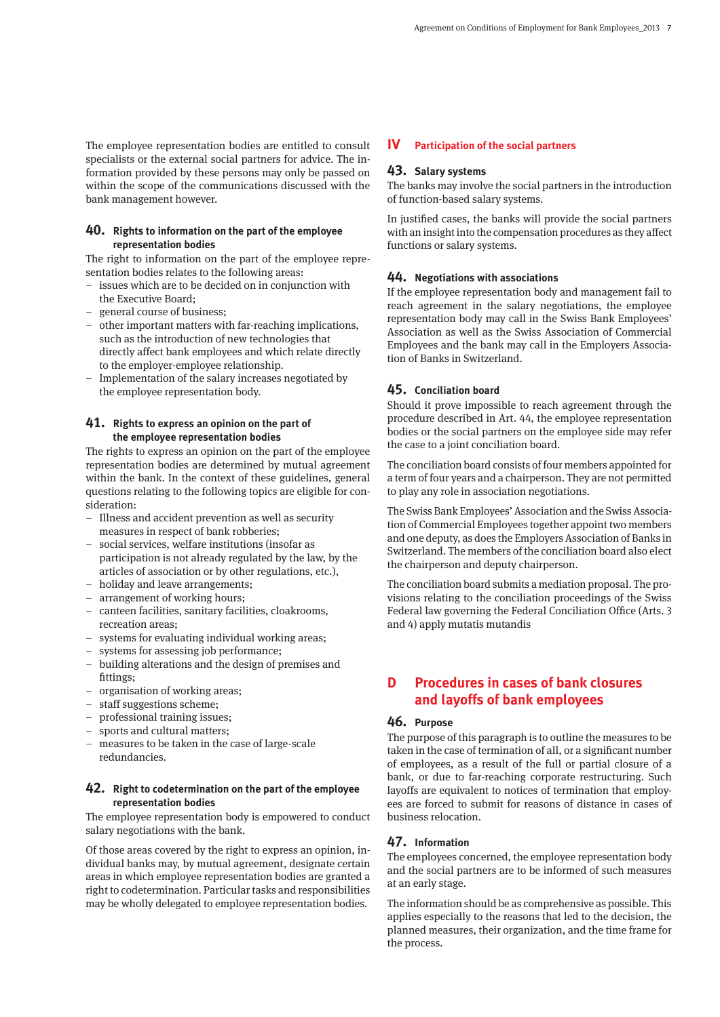The employee representation bodies are entitled to consult specialists or the external social partners for advice. The information provided by these persons may only be passed on within the scope of the communications discussed with the bank management however.

#### **40. Rights to information on the part of the employee representation bodies**

The right to information on the part of the employee representation bodies relates to the following areas:

- issues which are to be decided on in conjunction with the Executive Board;
- general course of business;
- other important matters with far-reaching implications, such as the introduction of new technologies that directly affect bank employees and which relate directly to the employer-employee relationship.
- Implementation of the salary increases negotiated by the employee representation body.

#### **41. Rights to express an opinion on the part of the employee representation bodies**

The rights to express an opinion on the part of the employee representation bodies are determined by mutual agreement within the bank. In the context of these guidelines, general questions relating to the following topics are eligible for consideration:

- Illness and accident prevention as well as security measures in respect of bank robberies;
- social services, welfare institutions (insofar as participation is not already regulated by the law, by the articles of association or by other regulations, etc.),
- holiday and leave arrangements;
- arrangement of working hours;
- canteen facilities, sanitary facilities, cloakrooms, recreation areas;
- systems for evaluating individual working areas;
- systems for assessing job performance;
- building alterations and the design of premises and fittings;
- organisation of working areas;
- staff suggestions scheme;
- professional training issues;
- sports and cultural matters;
- measures to be taken in the case of large-scale redundancies.

#### **42. Right to codetermination on the part of the employee representation bodies**

The employee representation body is empowered to conduct salary negotiations with the bank.

Of those areas covered by the right to express an opinion, individual banks may, by mutual agreement, designate certain areas in which employee representation bodies are granted a right to codetermination. Particular tasks and responsibilities may be wholly delegated to employee representation bodies.

#### **IV Participation of the social partners**

#### **43. Salary systems**

The banks may involve the social partners in the introduction of function-based salary systems.

In justified cases, the banks will provide the social partners with an insight into the compensation procedures as they affect functions or salary systems.

#### **44. Negotiations with associations**

If the employee representation body and management fail to reach agreement in the salary negotiations, the employee representation body may call in the Swiss Bank Employees' Association as well as the Swiss Association of Commercial Employees and the bank may call in the Employers Association of Banks in Switzerland.

#### **45. Conciliation board**

Should it prove impossible to reach agreement through the procedure described in Art. 44, the employee representation bodies or the social partners on the employee side may refer the case to a joint conciliation board.

The conciliation board consists of four members appointed for a term of four years and a chairperson. They are not permitted to play any role in association negotiations.

The Swiss Bank Employees' Association and the Swiss Association of Commercial Employees together appoint two members and one deputy, as does the Employers Association of Banks in Switzerland. The members of the conciliation board also elect the chairperson and deputy chairperson.

The conciliation board submits a mediation proposal. The provisions relating to the conciliation proceedings of the Swiss Federal law governing the Federal Conciliation Office (Arts. 3 and 4) apply mutatis mutandis

# **D Procedures in cases of bank closures and layoffs of bank employees**

#### **46. Purpose**

The purpose of this paragraph is to outline the measures to be taken in the case of termination of all, or a significant number of employees, as a result of the full or partial closure of a bank, or due to far-reaching corporate restructuring. Such layoffs are equivalent to notices of termination that employees are forced to submit for reasons of distance in cases of business relocation.

#### **47. Information**

The employees concerned, the employee representation body and the social partners are to be informed of such measures at an early stage.

The information should be as comprehensive as possible. This applies especially to the reasons that led to the decision, the planned measures, their organization, and the time frame for the process.